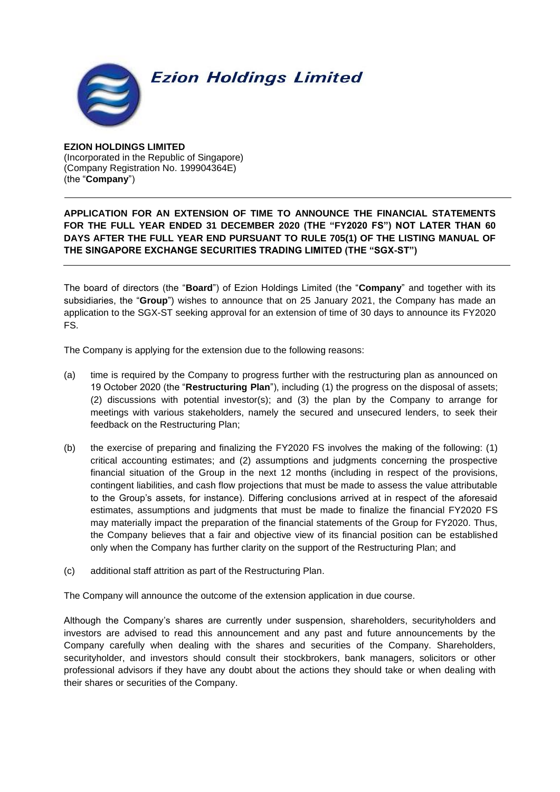## **Ezion Holdings Limited**

**EZION HOLDINGS LIMITED** (Incorporated in the Republic of Singapore) (Company Registration No. 199904364E) (the "**Company**")

## **APPLICATION FOR AN EXTENSION OF TIME TO ANNOUNCE THE FINANCIAL STATEMENTS FOR THE FULL YEAR ENDED 31 DECEMBER 2020 (THE "FY2020 FS") NOT LATER THAN 60 DAYS AFTER THE FULL YEAR END PURSUANT TO RULE 705(1) OF THE LISTING MANUAL OF THE SINGAPORE EXCHANGE SECURITIES TRADING LIMITED (THE "SGX-ST")**

The board of directors (the "**Board**") of Ezion Holdings Limited (the "**Company**" and together with its subsidiaries, the "**Group**") wishes to announce that on 25 January 2021, the Company has made an application to the SGX-ST seeking approval for an extension of time of 30 days to announce its FY2020 FS.

The Company is applying for the extension due to the following reasons:

- (a) time is required by the Company to progress further with the restructuring plan as announced on 19 October 2020 (the "**Restructuring Plan**"), including (1) the progress on the disposal of assets; (2) discussions with potential investor(s); and (3) the plan by the Company to arrange for meetings with various stakeholders, namely the secured and unsecured lenders, to seek their feedback on the Restructuring Plan;
- (b) the exercise of preparing and finalizing the FY2020 FS involves the making of the following: (1) critical accounting estimates; and (2) assumptions and judgments concerning the prospective financial situation of the Group in the next 12 months (including in respect of the provisions, contingent liabilities, and cash flow projections that must be made to assess the value attributable to the Group's assets, for instance). Differing conclusions arrived at in respect of the aforesaid estimates, assumptions and judgments that must be made to finalize the financial FY2020 FS may materially impact the preparation of the financial statements of the Group for FY2020. Thus, the Company believes that a fair and objective view of its financial position can be established only when the Company has further clarity on the support of the Restructuring Plan; and
- (c) additional staff attrition as part of the Restructuring Plan.

The Company will announce the outcome of the extension application in due course.

Although the Company's shares are currently under suspension, shareholders, securityholders and investors are advised to read this announcement and any past and future announcements by the Company carefully when dealing with the shares and securities of the Company. Shareholders, securityholder, and investors should consult their stockbrokers, bank managers, solicitors or other professional advisors if they have any doubt about the actions they should take or when dealing with their shares or securities of the Company.